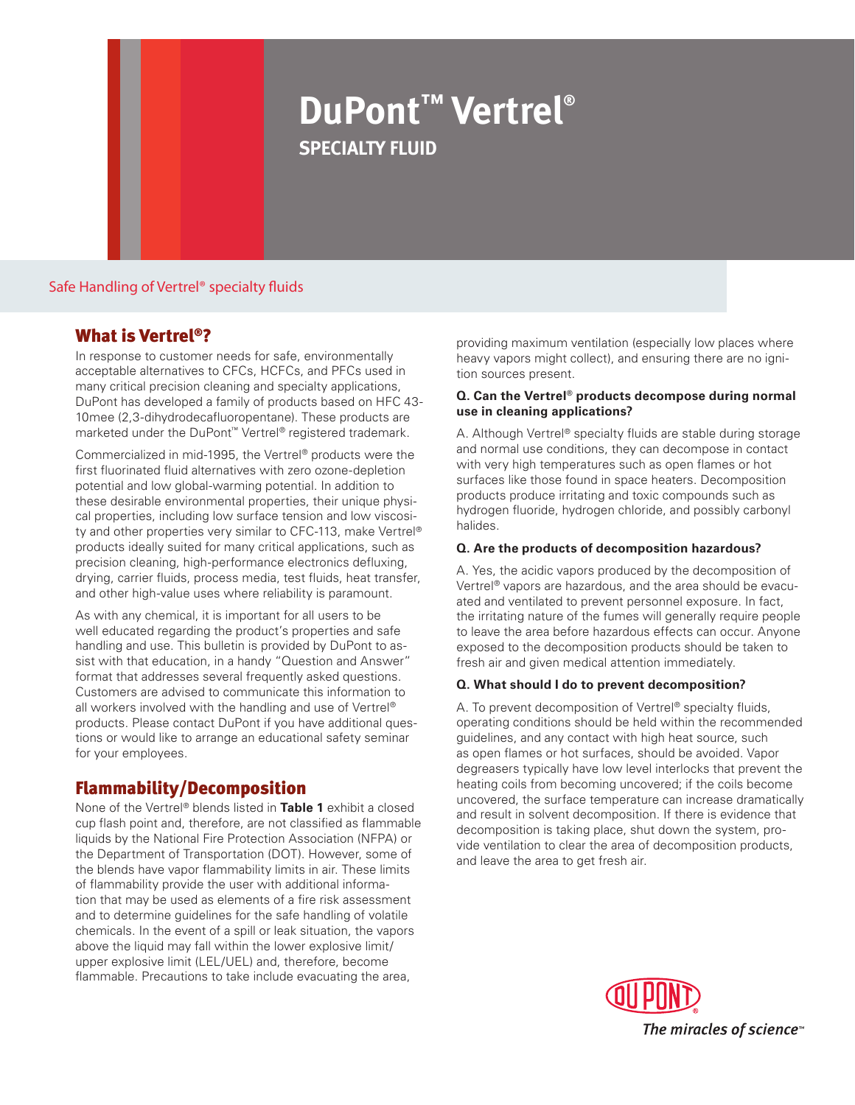# **DuPont™ Vertrel® specialty fluid**

Safe Handling of Vertrel® specialty fluids

# What is Vertrel®?

In response to customer needs for safe, environmentally acceptable alternatives to CFCs, HCFCs, and PFCs used in many critical precision cleaning and specialty applications, DuPont has developed a family of products based on HFC 43- 10mee (2,3-dihydrodecafluoropentane). These products are marketed under the DuPont™ Vertrel® registered trademark.

Commercialized in mid-1995, the Vertrel® products were the first fluorinated fluid alternatives with zero ozone-depletion potential and low global-warming potential. In addition to these desirable environmental properties, their unique physical properties, including low surface tension and low viscosity and other properties very similar to CFC-113, make Vertrel® products ideally suited for many critical applications, such as precision cleaning, high-performance electronics defluxing, drying, carrier fluids, process media, test fluids, heat transfer, and other high-value uses where reliability is paramount.

As with any chemical, it is important for all users to be well educated regarding the product's properties and safe handling and use. This bulletin is provided by DuPont to assist with that education, in a handy "Question and Answer" format that addresses several frequently asked questions. Customers are advised to communicate this information to all workers involved with the handling and use of Vertrel® products. Please contact DuPont if you have additional questions or would like to arrange an educational safety seminar for your employees.

# Flammability/Decomposition

None of the Vertrel® blends listed in **Table 1** exhibit a closed cup flash point and, therefore, are not classified as flammable liquids by the National Fire Protection Association (NFPA) or the Department of Transportation (DOT). However, some of the blends have vapor flammability limits in air. These limits of flammability provide the user with additional information that may be used as elements of a fire risk assessment and to determine guidelines for the safe handling of volatile chemicals. In the event of a spill or leak situation, the vapors above the liquid may fall within the lower explosive limit/ upper explosive limit (LEL/UEL) and, therefore, become flammable. Precautions to take include evacuating the area,

providing maximum ventilation (especially low places where heavy vapors might collect), and ensuring there are no ignition sources present.

#### **Q. Can the Vertrel® products decompose during normal use in cleaning applications?**

A. Although Vertrel® specialty fluids are stable during storage and normal use conditions, they can decompose in contact with very high temperatures such as open flames or hot surfaces like those found in space heaters. Decomposition products produce irritating and toxic compounds such as hydrogen fluoride, hydrogen chloride, and possibly carbonyl halides.

## **Q. Are the products of decomposition hazardous?**

A. Yes, the acidic vapors produced by the decomposition of Vertrel® vapors are hazardous, and the area should be evacuated and ventilated to prevent personnel exposure. In fact, the irritating nature of the fumes will generally require people to leave the area before hazardous effects can occur. Anyone exposed to the decomposition products should be taken to fresh air and given medical attention immediately.

## **Q. What should I do to prevent decomposition?**

A. To prevent decomposition of Vertrel® specialty fluids, operating conditions should be held within the recommended guidelines, and any contact with high heat source, such as open flames or hot surfaces, should be avoided. Vapor degreasers typically have low level interlocks that prevent the heating coils from becoming uncovered; if the coils become uncovered, the surface temperature can increase dramatically and result in solvent decomposition. If there is evidence that decomposition is taking place, shut down the system, provide ventilation to clear the area of decomposition products, and leave the area to get fresh air.

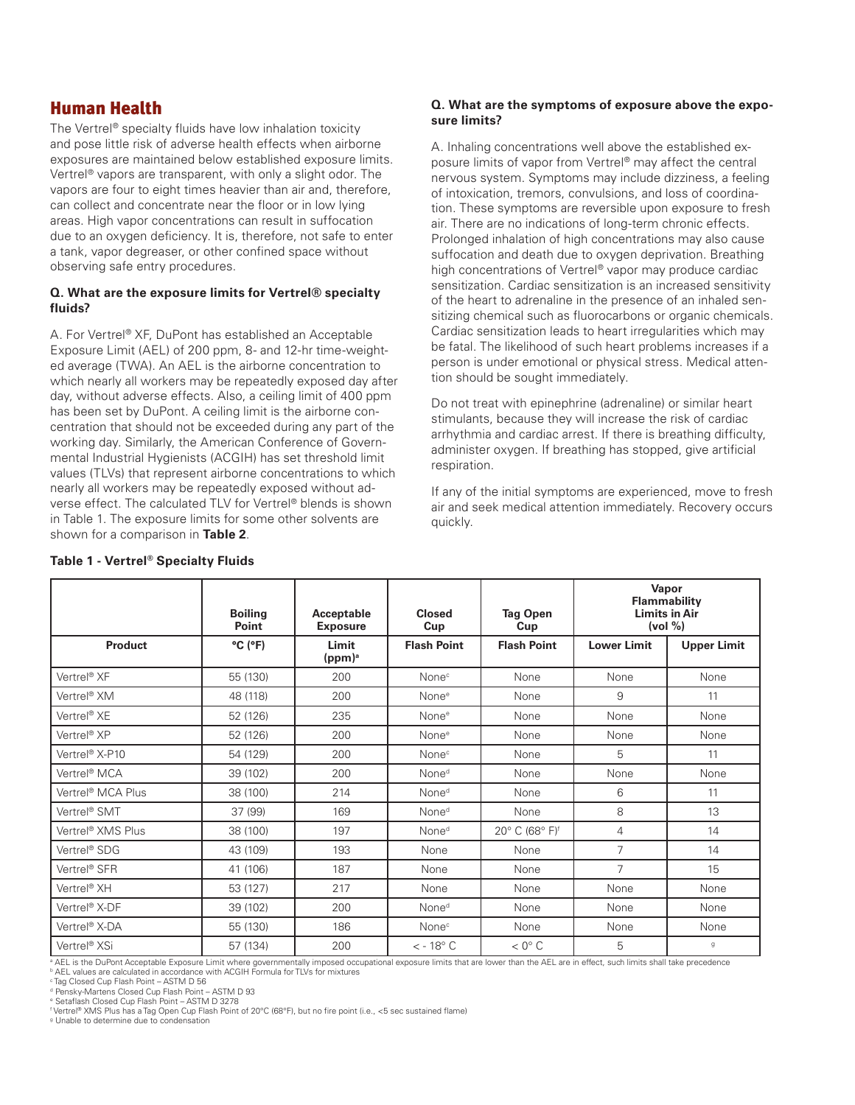# Human Health

The Vertrel® specialty fluids have low inhalation toxicity and pose little risk of adverse health effects when airborne exposures are maintained below established exposure limits. Vertrel® vapors are transparent, with only a slight odor. The vapors are four to eight times heavier than air and, therefore, can collect and concentrate near the floor or in low lying areas. High vapor concentrations can result in suffocation due to an oxygen deficiency. It is, therefore, not safe to enter a tank, vapor degreaser, or other confined space without observing safe entry procedures.

#### **Q. What are the exposure limits for Vertrel® specialty fluids?**

A. For Vertrel® XF, DuPont has established an Acceptable Exposure Limit (AEL) of 200 ppm, 8- and 12-hr time-weighted average (TWA). An AEL is the airborne concentration to which nearly all workers may be repeatedly exposed day after day, without adverse effects. Also, a ceiling limit of 400 ppm has been set by DuPont. A ceiling limit is the airborne concentration that should not be exceeded during any part of the working day. Similarly, the American Conference of Governmental Industrial Hygienists (ACGIH) has set threshold limit values (TLVs) that represent airborne concentrations to which nearly all workers may be repeatedly exposed without adverse effect. The calculated TLV for Vertrel® blends is shown in Table 1. The exposure limits for some other solvents are shown for a comparison in **Table 2**.

#### **Q. What are the symptoms of exposure above the exposure limits?**

A. Inhaling concentrations well above the established exposure limits of vapor from Vertrel® may affect the central nervous system. Symptoms may include dizziness, a feeling of intoxication, tremors, convulsions, and loss of coordination. These symptoms are reversible upon exposure to fresh air. There are no indications of long-term chronic effects. Prolonged inhalation of high concentrations may also cause suffocation and death due to oxygen deprivation. Breathing high concentrations of Vertrel® vapor may produce cardiac sensitization. Cardiac sensitization is an increased sensitivity of the heart to adrenaline in the presence of an inhaled sensitizing chemical such as fluorocarbons or organic chemicals. Cardiac sensitization leads to heart irregularities which may be fatal. The likelihood of such heart problems increases if a person is under emotional or physical stress. Medical attention should be sought immediately.

Do not treat with epinephrine (adrenaline) or similar heart stimulants, because they will increase the risk of cardiac arrhythmia and cardiac arrest. If there is breathing difficulty, administer oxygen. If breathing has stopped, give artificial respiration.

If any of the initial symptoms are experienced, move to fresh air and seek medical attention immediately. Recovery occurs quickly.

|                           | <b>Boiling</b><br>Point      | Acceptable<br><b>Exposure</b> | Closed<br>Cup         | <b>Tag Open</b><br>Cup     |                    | Vapor<br>Flammability<br><b>Limits in Air</b><br>(vol %) |
|---------------------------|------------------------------|-------------------------------|-----------------------|----------------------------|--------------------|----------------------------------------------------------|
| <b>Product</b>            | $^{\circ}$ C ( $^{\circ}$ F) | Limit<br>(ppm) <sup>a</sup>   | <b>Flash Point</b>    | <b>Flash Point</b>         | <b>Lower Limit</b> | <b>Upper Limit</b>                                       |
| Vertrel <sup>®</sup> XF   | 55 (130)                     | 200                           | None <sup>c</sup>     | None                       | None               | None                                                     |
| Vertrel <sup>®</sup> XM   | 48 (118)                     | 200                           | None <sup>e</sup>     | None                       | 9                  | 11                                                       |
| Vertrel® XE               | 52 (126)                     | 235                           | None <sup>e</sup>     | None                       | None               | None                                                     |
| Vertrel <sup>®</sup> XP   | 52 (126)                     | 200                           | None <sup>e</sup>     | None                       | None               | None                                                     |
| Vertrel® X-P10            | 54 (129)                     | 200                           | None <sup>c</sup>     | None                       | 5                  | 11                                                       |
| Vertrel <sup>®</sup> MCA  | 39 (102)                     | 200                           | None <sup>d</sup>     | None                       | None               | None                                                     |
| Vertrel® MCA Plus         | 38 (100)                     | 214                           | None <sup>d</sup>     | None                       | 6                  | 11                                                       |
| Vertrel <sup>®</sup> SMT  | 37 (99)                      | 169                           | None <sup>d</sup>     | None                       | 8                  | 13                                                       |
| Vertrel® XMS Plus         | 38 (100)                     | 197                           | None <sup>d</sup>     | 20° C (68° F) <sup>f</sup> | 4                  | 14                                                       |
| Vertrel® SDG              | 43 (109)                     | 193                           | None                  | None                       | 7                  | 14                                                       |
| Vertrel <sup>®</sup> SFR  | 41 (106)                     | 187                           | None                  | None                       | $\overline{7}$     | 15                                                       |
| Vertrel <sup>®</sup> XH   | 53 (127)                     | 217                           | None                  | None                       | None               | None                                                     |
| Vertrel® X-DF             | 39 (102)                     | 200                           | None <sup>d</sup>     | None                       | None               | None                                                     |
| Vertrel <sup>®</sup> X-DA | 55 (130)                     | 186                           | None <sup>c</sup>     | None                       | None               | None                                                     |
| Vertrel <sup>®</sup> XSi  | 57 (134)                     | 200                           | $<$ - 18 $^{\circ}$ C | $< 0^\circ C$              | 5                  | g                                                        |

## **Table 1 - Vertrel® Specialty Fluids**

a AEL is the DuPont Acceptable Exposure Limit where governmentally imposed occupational exposure limits that are lower than the AEL are in effect, such limits shall take precedence

**b AEL values are calculated in accordance with ACGIH Formula for TLVs for mixtures** 

c Tag Closed Cup Flash Point – ASTM D 56

d Pensky-Martens Closed Cup Flash Point – ASTM D 93 e Setaflash Closed Cup Flash Point – ASTM D 3278

f Vertrel® XMS Plus has a Tag Open Cup Flash Point of 20°C (68°F), but no fire point (i.e., <5 sec sustained flame)

g Unable to determine due to condensation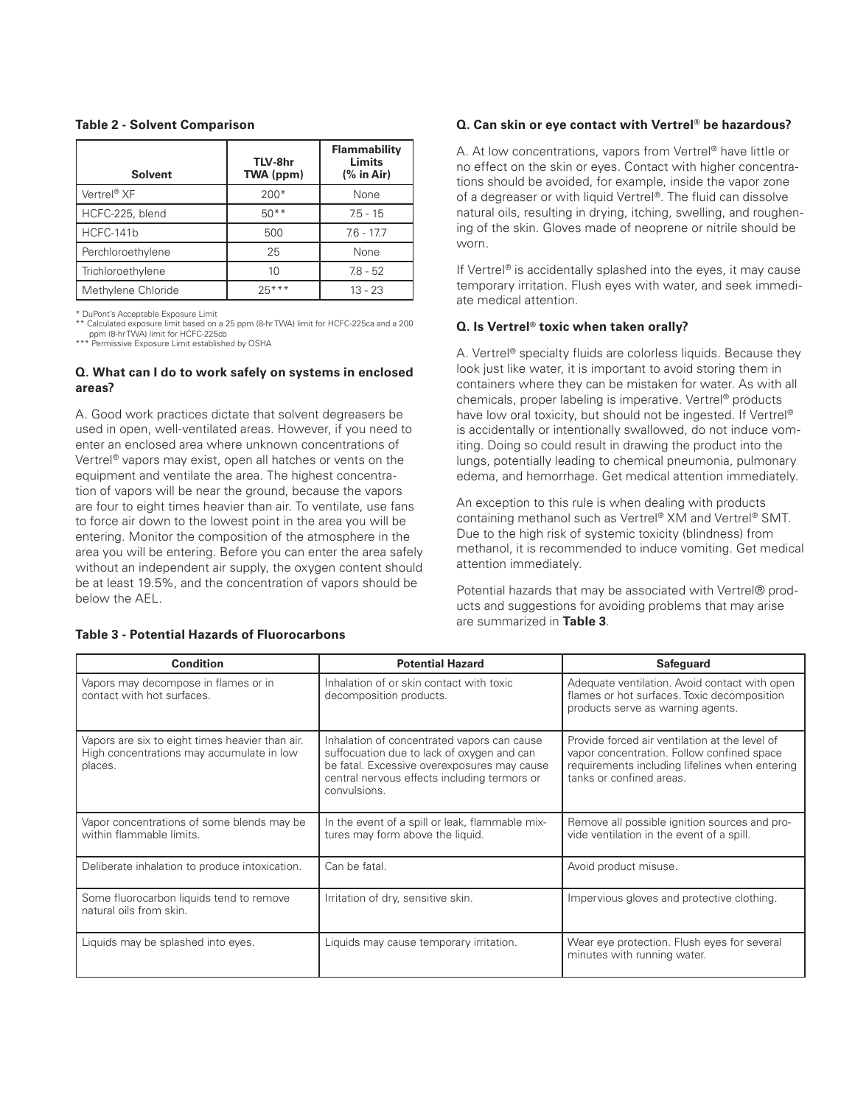#### **Table 2 - Solvent Comparison**

| <b>Solvent</b>     | TLV-8hr<br>TWA (ppm) | Flammability<br>Limits<br>$%$ in Air) |
|--------------------|----------------------|---------------------------------------|
| Vertrel® XF        | $200*$               | None                                  |
| HCFC-225, blend    | $50**$               | $75 - 15$                             |
| HCFC-141b          | 500                  | $7.6 - 17.7$                          |
| Perchloroethylene  | 25                   | None                                  |
| Trichloroethylene  | 10                   | $7.8 - 52$                            |
| Methylene Chloride | $25***$              | $13 - 23$                             |

\* DuPont's Acceptable Exposure Limit

\*\* Calculated exposure limit based on a 25 ppm (8-hr TWA) limit for HCFC-225ca and a 200 ppm (8-hr TWA) limit for HCFC-225cb \*\*\* Permissive Exposure Limit established by OSHA

#### **Q. What can I do to work safely on systems in enclosed areas?**

A. Good work practices dictate that solvent degreasers be used in open, well-ventilated areas. However, if you need to enter an enclosed area where unknown concentrations of Vertrel® vapors may exist, open all hatches or vents on the equipment and ventilate the area. The highest concentration of vapors will be near the ground, because the vapors are four to eight times heavier than air. To ventilate, use fans to force air down to the lowest point in the area you will be entering. Monitor the composition of the atmosphere in the area you will be entering. Before you can enter the area safely without an independent air supply, the oxygen content should be at least 19.5%, and the concentration of vapors should be below the AEL.

#### **Q. Can skin or eye contact with Vertrel® be hazardous?**

A. At low concentrations, vapors from Vertrel® have little or no effect on the skin or eyes. Contact with higher concentrations should be avoided, for example, inside the vapor zone of a degreaser or with liquid Vertrel®. The fluid can dissolve natural oils, resulting in drying, itching, swelling, and roughening of the skin. Gloves made of neoprene or nitrile should be worn.

If Vertrel® is accidentally splashed into the eyes, it may cause temporary irritation. Flush eyes with water, and seek immediate medical attention.

#### **Q. Is Vertrel® toxic when taken orally?**

A. Vertrel® specialty fluids are colorless liquids. Because they look just like water, it is important to avoid storing them in containers where they can be mistaken for water. As with all chemicals, proper labeling is imperative. Vertrel® products have low oral toxicity, but should not be ingested. If Vertrel<sup>®</sup> is accidentally or intentionally swallowed, do not induce vomiting. Doing so could result in drawing the product into the lungs, potentially leading to chemical pneumonia, pulmonary edema, and hemorrhage. Get medical attention immediately.

An exception to this rule is when dealing with products containing methanol such as Vertrel® XM and Vertrel® SMT. Due to the high risk of systemic toxicity (blindness) from methanol, it is recommended to induce vomiting. Get medical attention immediately.

Potential hazards that may be associated with Vertrel® products and suggestions for avoiding problems that may arise are summarized in **Table 3**.

| <b>Condition</b>                                                                                        | <b>Potential Hazard</b>                                                                                                                                                                                  | <b>Safeguard</b>                                                                                                                                                           |  |
|---------------------------------------------------------------------------------------------------------|----------------------------------------------------------------------------------------------------------------------------------------------------------------------------------------------------------|----------------------------------------------------------------------------------------------------------------------------------------------------------------------------|--|
| Vapors may decompose in flames or in<br>contact with hot surfaces.                                      | Inhalation of or skin contact with toxic<br>decomposition products.                                                                                                                                      | Adequate ventilation. Avoid contact with open<br>flames or hot surfaces. Toxic decomposition<br>products serve as warning agents.                                          |  |
| Vapors are six to eight times heavier than air.<br>High concentrations may accumulate in low<br>places. | Inhalation of concentrated vapors can cause<br>suffocuation due to lack of oxygen and can<br>be fatal. Excessive overexposures may cause<br>central nervous effects including termors or<br>convulsions. | Provide forced air ventilation at the level of<br>vapor concentration. Follow confined space<br>requirements including lifelines when entering<br>tanks or confined areas. |  |
| Vapor concentrations of some blends may be<br>within flammable limits.                                  | In the event of a spill or leak, flammable mix-<br>tures may form above the liquid.                                                                                                                      | Remove all possible ignition sources and pro-<br>vide ventilation in the event of a spill.                                                                                 |  |
| Deliberate inhalation to produce intoxication.                                                          | Can be fatal.                                                                                                                                                                                            | Avoid product misuse.                                                                                                                                                      |  |
| Some fluorocarbon liquids tend to remove<br>natural oils from skin.                                     | Irritation of dry, sensitive skin.                                                                                                                                                                       | Impervious gloves and protective clothing.                                                                                                                                 |  |
| Liquids may be splashed into eyes.                                                                      | Liquids may cause temporary irritation.                                                                                                                                                                  | Wear eye protection. Flush eyes for several<br>minutes with running water.                                                                                                 |  |

#### **Table 3 - Potential Hazards of Fluorocarbons**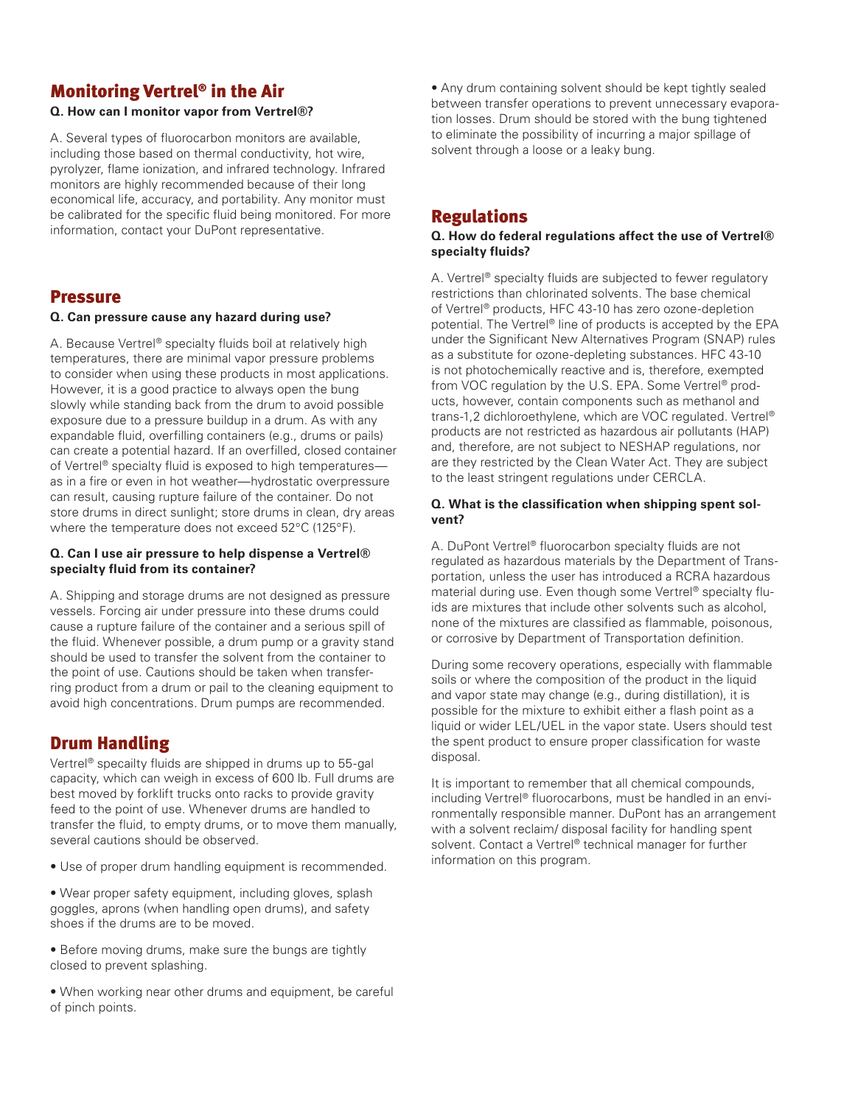# Monitoring Vertrel® in the Air

#### **Q. How can I monitor vapor from Vertrel®?**

A. Several types of fluorocarbon monitors are available, including those based on thermal conductivity, hot wire, pyrolyzer, flame ionization, and infrared technology. Infrared monitors are highly recommended because of their long economical life, accuracy, and portability. Any monitor must be calibrated for the specific fluid being monitored. For more information, contact your DuPont representative.

# Pressure

#### **Q. Can pressure cause any hazard during use?**

A. Because Vertrel® specialty fluids boil at relatively high temperatures, there are minimal vapor pressure problems to consider when using these products in most applications. However, it is a good practice to always open the bung slowly while standing back from the drum to avoid possible exposure due to a pressure buildup in a drum. As with any expandable fluid, overfilling containers (e.g., drums or pails) can create a potential hazard. If an overfilled, closed container of Vertrel® specialty fluid is exposed to high temperatures as in a fire or even in hot weather—hydrostatic overpressure can result, causing rupture failure of the container. Do not store drums in direct sunlight; store drums in clean, dry areas where the temperature does not exceed 52°C (125°F).

#### **Q. Can I use air pressure to help dispense a Vertrel® specialty fluid from its container?**

A. Shipping and storage drums are not designed as pressure vessels. Forcing air under pressure into these drums could cause a rupture failure of the container and a serious spill of the fluid. Whenever possible, a drum pump or a gravity stand should be used to transfer the solvent from the container to the point of use. Cautions should be taken when transferring product from a drum or pail to the cleaning equipment to avoid high concentrations. Drum pumps are recommended.

# Drum Handling

Vertrel® specailty fluids are shipped in drums up to 55-gal capacity, which can weigh in excess of 600 lb. Full drums are best moved by forklift trucks onto racks to provide gravity feed to the point of use. Whenever drums are handled to transfer the fluid, to empty drums, or to move them manually, several cautions should be observed.

• Use of proper drum handling equipment is recommended.

• Wear proper safety equipment, including gloves, splash goggles, aprons (when handling open drums), and safety shoes if the drums are to be moved.

• Before moving drums, make sure the bungs are tightly closed to prevent splashing.

• When working near other drums and equipment, be careful of pinch points.

• Any drum containing solvent should be kept tightly sealed between transfer operations to prevent unnecessary evaporation losses. Drum should be stored with the bung tightened to eliminate the possibility of incurring a major spillage of solvent through a loose or a leaky bung.

# Regulations

#### **Q. How do federal regulations affect the use of Vertrel® specialty fluids?**

A. Vertrel® specialty fluids are subjected to fewer regulatory restrictions than chlorinated solvents. The base chemical of Vertrel® products, HFC 43-10 has zero ozone-depletion potential. The Vertrel® line of products is accepted by the EPA under the Significant New Alternatives Program (SNAP) rules as a substitute for ozone-depleting substances. HFC 43-10 is not photochemically reactive and is, therefore, exempted from VOC regulation by the U.S. EPA. Some Vertrel® products, however, contain components such as methanol and trans-1,2 dichloroethylene, which are VOC regulated. Vertrel® products are not restricted as hazardous air pollutants (HAP) and, therefore, are not subject to NESHAP regulations, nor are they restricted by the Clean Water Act. They are subject to the least stringent regulations under CERCLA.

## **Q. What is the classification when shipping spent solvent?**

A. DuPont Vertrel® fluorocarbon specialty fluids are not regulated as hazardous materials by the Department of Transportation, unless the user has introduced a RCRA hazardous material during use. Even though some Vertrel® specialty fluids are mixtures that include other solvents such as alcohol, none of the mixtures are classified as flammable, poisonous, or corrosive by Department of Transportation definition.

During some recovery operations, especially with flammable soils or where the composition of the product in the liquid and vapor state may change (e.g., during distillation), it is possible for the mixture to exhibit either a flash point as a liquid or wider LEL/UEL in the vapor state. Users should test the spent product to ensure proper classification for waste disposal.

It is important to remember that all chemical compounds, including Vertrel® fluorocarbons, must be handled in an environmentally responsible manner. DuPont has an arrangement with a solvent reclaim/ disposal facility for handling spent solvent. Contact a Vertrel® technical manager for further information on this program.